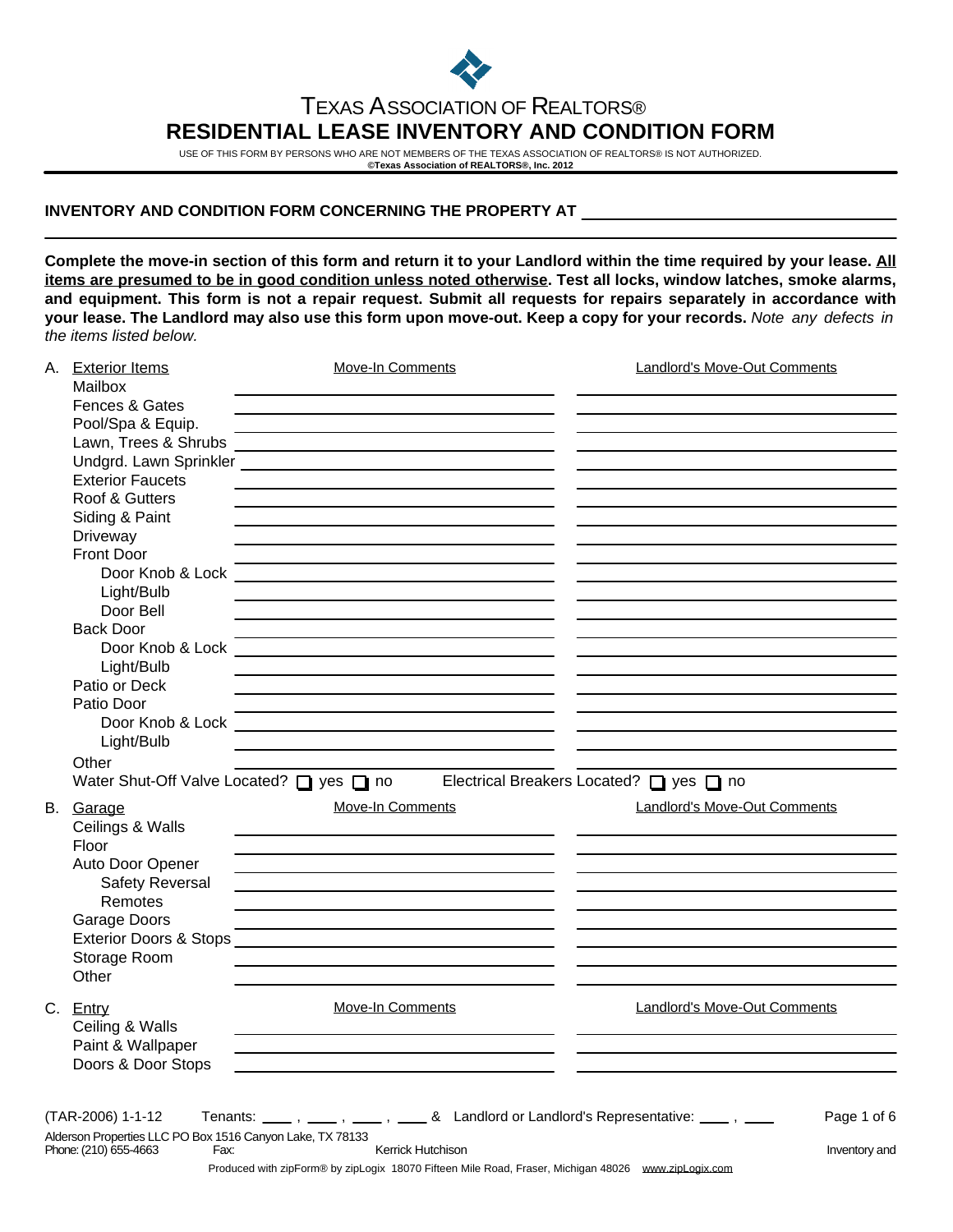

## TEXAS ASSOCIATION OF REALTORS® **RESIDENTIAL LEASE INVENTORY AND CONDITION FORM**

USE OF THIS FORM BY PERSONS WHO ARE NOT MEMBERS OF THE TEXAS ASSOCIATION OF REALTORS® IS NOT AUTHORIZED. **©Texas Association of REALTORS®, Inc. 2012**

## **INVENTORY AND CONDITION FORM CONCERNING THE PROPERTY AT**

**Complete the move-in section of this form and return it to your Landlord within the time required by your lease. All items are presumed to be in good condition unless noted otherwise. Test all locks, window latches, smoke alarms, and equipment. This form is not a repair request. Submit all requests for repairs separately in accordance with your lease. The Landlord may also use this form upon move-out. Keep a copy for your records.** Note any defects in the items listed below.

|  | A. Exterior Items<br>Mailbox                              | Move-In Comments                                                                                                            | <b>Landlord's Move-Out Comments</b>     |
|--|-----------------------------------------------------------|-----------------------------------------------------------------------------------------------------------------------------|-----------------------------------------|
|  | Fences & Gates                                            |                                                                                                                             |                                         |
|  | Pool/Spa & Equip.                                         |                                                                                                                             |                                         |
|  | Lawn, Trees & Shrubs                                      |                                                                                                                             |                                         |
|  |                                                           |                                                                                                                             |                                         |
|  | <b>Exterior Faucets</b>                                   |                                                                                                                             |                                         |
|  | Roof & Gutters                                            |                                                                                                                             |                                         |
|  | Siding & Paint                                            |                                                                                                                             |                                         |
|  | Driveway                                                  |                                                                                                                             |                                         |
|  | <b>Front Door</b>                                         |                                                                                                                             |                                         |
|  | Door Knob & Lock                                          | <u> 1989 - Johann Barn, mars ann an t-Amhain an t-Amhain ann an t-Amhain an t-Amhain an t-Amhain an t-Amhain ann an t-A</u> |                                         |
|  | Light/Bulb                                                |                                                                                                                             |                                         |
|  | Door Bell                                                 |                                                                                                                             |                                         |
|  | <b>Back Door</b>                                          |                                                                                                                             |                                         |
|  | Door Knob & Lock                                          | <u> 1989 - Andrea Station Barbara, amerikan personal (h. 1989)</u>                                                          |                                         |
|  | Light/Bulb                                                |                                                                                                                             |                                         |
|  | Patio or Deck                                             |                                                                                                                             |                                         |
|  | Patio Door                                                |                                                                                                                             |                                         |
|  |                                                           |                                                                                                                             |                                         |
|  | Light/Bulb                                                |                                                                                                                             |                                         |
|  | Other                                                     |                                                                                                                             |                                         |
|  | Water Shut-Off Valve Located? U yes U no                  |                                                                                                                             | Electrical Breakers Located? □ yes □ no |
|  |                                                           |                                                                                                                             |                                         |
|  | Move-In Comments<br>B. Garage                             |                                                                                                                             | <b>Landlord's Move-Out Comments</b>     |
|  | Ceilings & Walls                                          |                                                                                                                             |                                         |
|  | Floor                                                     |                                                                                                                             |                                         |
|  | Auto Door Opener                                          |                                                                                                                             |                                         |
|  | Safety Reversal                                           |                                                                                                                             |                                         |
|  | Remotes                                                   |                                                                                                                             |                                         |
|  | Garage Doors                                              |                                                                                                                             |                                         |
|  |                                                           |                                                                                                                             |                                         |
|  | Storage Room                                              |                                                                                                                             |                                         |
|  | Other                                                     |                                                                                                                             |                                         |
|  |                                                           |                                                                                                                             | <b>Landlord's Move-Out Comments</b>     |
|  | C. Entry                                                  | <b>Move-In Comments</b>                                                                                                     |                                         |
|  | Ceiling & Walls                                           |                                                                                                                             |                                         |
|  | Paint & Wallpaper                                         |                                                                                                                             |                                         |
|  | Doors & Door Stops                                        |                                                                                                                             |                                         |
|  |                                                           |                                                                                                                             |                                         |
|  | (TAR-2006) 1-1-12                                         | Tenants: ____, ____, ___, & Landlord or Landlord's Representative: ___, ___                                                 | Page 1 of 6                             |
|  | Alderson Properties LLC PO Box 1516 Canyon Lake, TX 78133 |                                                                                                                             |                                         |
|  | Phone: (210) 655-4663<br>Fax:                             | Kerrick Hutchison                                                                                                           | Inventory and                           |
|  |                                                           | Produced with zipForm® by zipLogix 18070 Fifteen Mile Road, Fraser, Michigan 48026 www.zipLogix.com                         |                                         |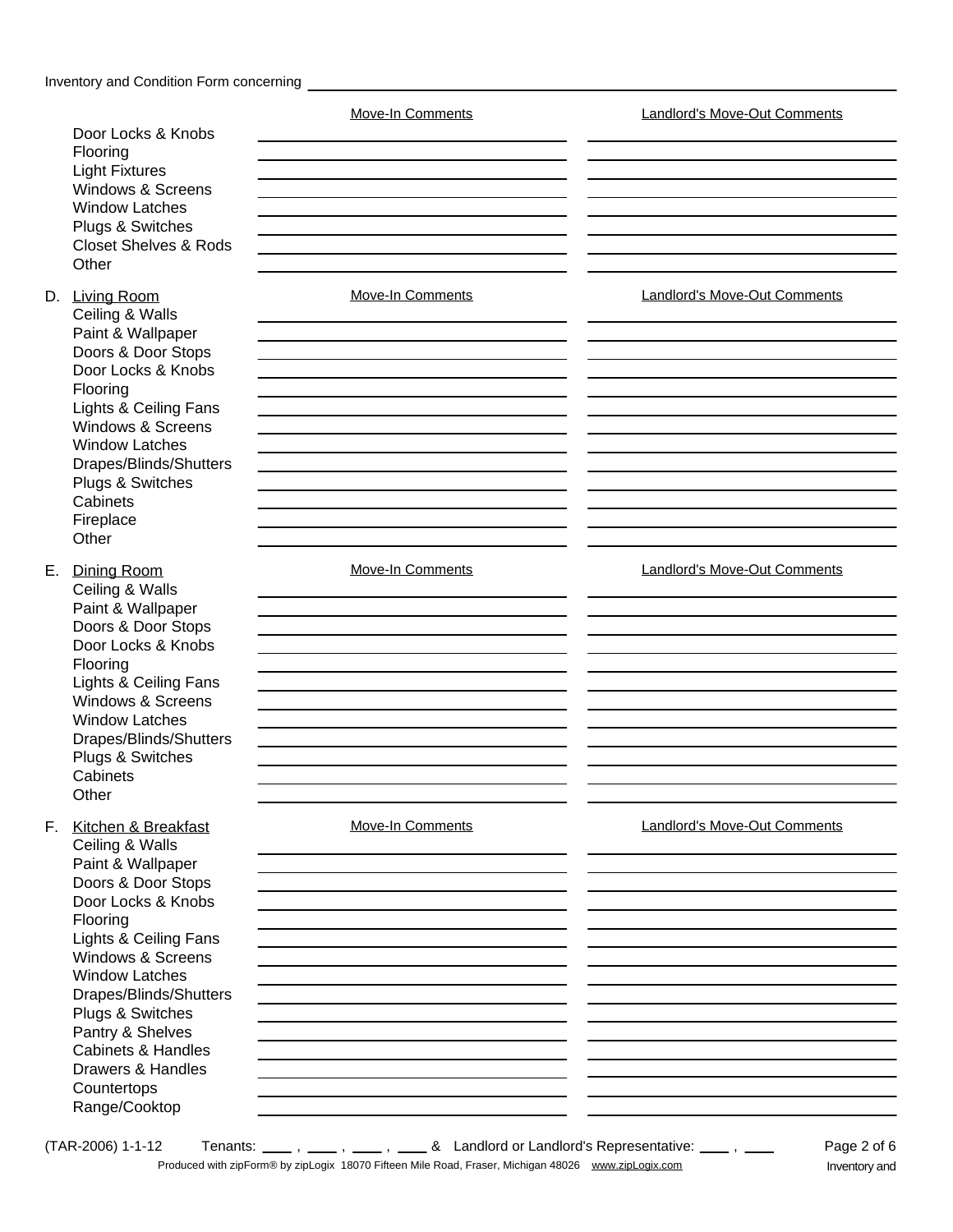| Door Locks & Knobs<br>Flooring<br><b>Light Fixtures</b><br>Windows & Screens<br><b>Window Latches</b><br>Plugs & Switches<br><b>Closet Shelves &amp; Rods</b><br>Other                                                                                                                                                                                | Move-In Comments        | <b>Landlord's Move-Out Comments</b> |  |  |
|-------------------------------------------------------------------------------------------------------------------------------------------------------------------------------------------------------------------------------------------------------------------------------------------------------------------------------------------------------|-------------------------|-------------------------------------|--|--|
| D. Living Room<br>Ceiling & Walls<br>Paint & Wallpaper<br>Doors & Door Stops<br>Door Locks & Knobs<br>Flooring<br>Lights & Ceiling Fans<br>Windows & Screens<br><b>Window Latches</b><br>Drapes/Blinds/Shutters<br>Plugs & Switches<br>Cabinets<br>Fireplace<br>Other                                                                                 | Move-In Comments        | Landlord's Move-Out Comments        |  |  |
| E. Dining Room<br>Ceiling & Walls<br>Paint & Wallpaper<br>Doors & Door Stops<br>Door Locks & Knobs<br>Flooring<br>Lights & Ceiling Fans<br>Windows & Screens<br><b>Window Latches</b><br>Drapes/Blinds/Shutters<br>Plugs & Switches<br>Cabinets<br>Other                                                                                              | Move-In Comments        | <b>Landlord's Move-Out Comments</b> |  |  |
| F. Kitchen & Breakfast<br>Ceiling & Walls<br>Paint & Wallpaper<br>Doors & Door Stops<br>Door Locks & Knobs<br>Flooring<br>Lights & Ceiling Fans<br>Windows & Screens<br><b>Window Latches</b><br>Drapes/Blinds/Shutters<br>Plugs & Switches<br>Pantry & Shelves<br><b>Cabinets &amp; Handles</b><br>Drawers & Handles<br>Countertops<br>Range/Cooktop | <b>Move-In Comments</b> | <b>Landlord's Move-Out Comments</b> |  |  |

 $(TAR-2006)$  1-1-12 Tenants:  $\frac{1}{1}$ ,  $\frac{1}{1}$ ,  $\frac{1}{1}$ ,  $\frac{1}{1}$ ,  $\frac{1}{1}$ ,  $\frac{1}{1}$ ,  $\frac{1}{1}$ ,  $\frac{1}{1}$ ,  $\frac{1}{1}$ ,  $\frac{1}{1}$ Produced with zipForm® by zipLogix 18070 Fifteen Mile Road, Fraser, Michigan 48026 www.zipLogix.com Inventory and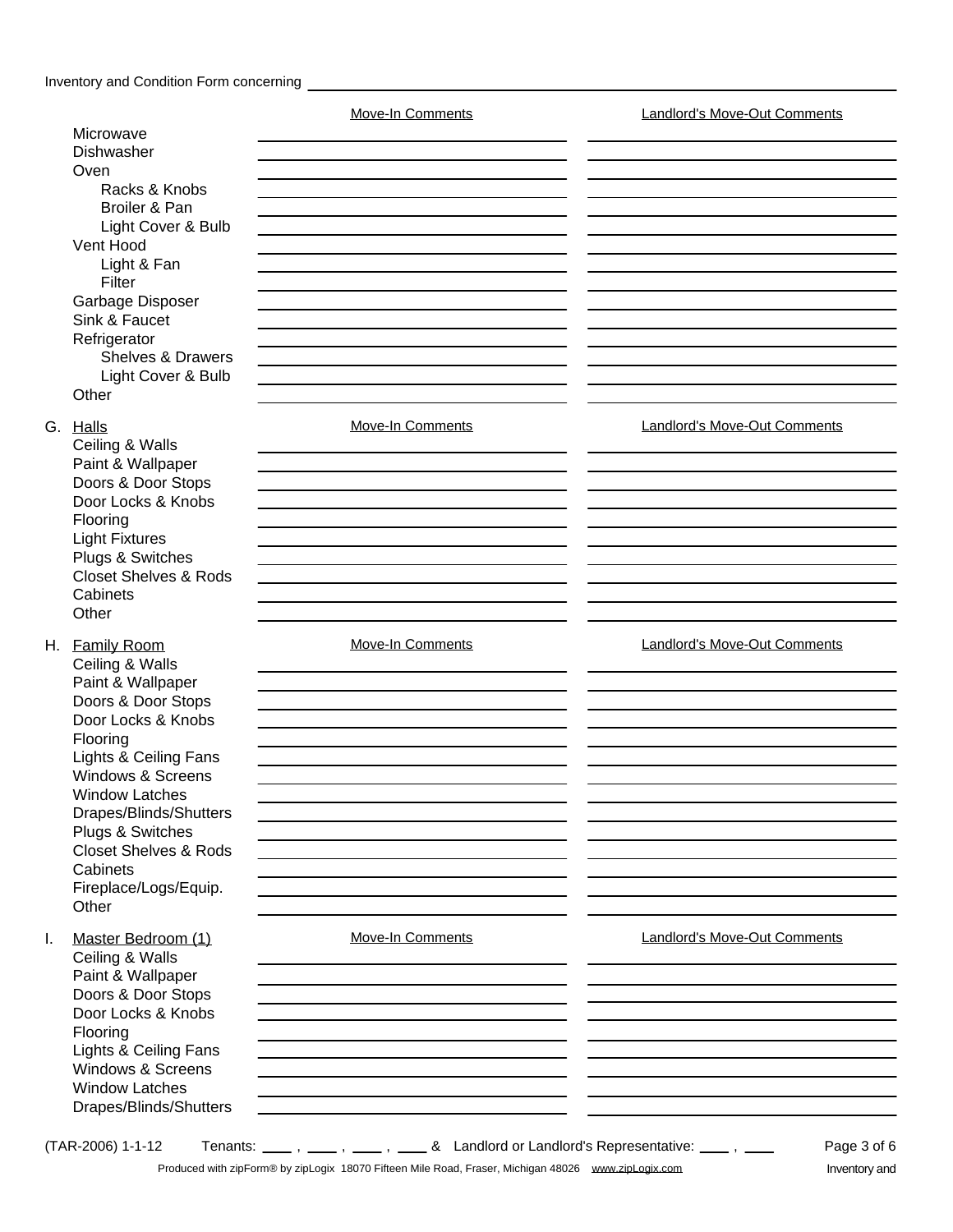## Inventory and Condition Form concerning **CONSIDER 2006** 2007 2008 2012 2023

|    |                                            | Move-In Comments                                                                | <b>Landlord's Move-Out Comments</b> |
|----|--------------------------------------------|---------------------------------------------------------------------------------|-------------------------------------|
|    | Microwave                                  |                                                                                 |                                     |
|    | Dishwasher                                 |                                                                                 |                                     |
|    | Oven                                       |                                                                                 |                                     |
|    | Racks & Knobs                              |                                                                                 |                                     |
|    | Broiler & Pan                              |                                                                                 |                                     |
|    | Light Cover & Bulb                         |                                                                                 |                                     |
|    | Vent Hood                                  |                                                                                 |                                     |
|    | Light & Fan                                |                                                                                 |                                     |
|    | Filter                                     |                                                                                 |                                     |
|    | Garbage Disposer                           |                                                                                 |                                     |
|    | Sink & Faucet                              |                                                                                 |                                     |
|    | Refrigerator                               |                                                                                 |                                     |
|    | <b>Shelves &amp; Drawers</b>               |                                                                                 |                                     |
|    | Light Cover & Bulb                         |                                                                                 |                                     |
|    | Other                                      |                                                                                 |                                     |
|    | G. Halls                                   | Move-In Comments                                                                | Landlord's Move-Out Comments        |
|    | Ceiling & Walls                            |                                                                                 |                                     |
|    | Paint & Wallpaper                          |                                                                                 |                                     |
|    | Doors & Door Stops                         |                                                                                 |                                     |
|    | Door Locks & Knobs                         |                                                                                 |                                     |
|    | Flooring                                   |                                                                                 |                                     |
|    | <b>Light Fixtures</b>                      |                                                                                 |                                     |
|    | Plugs & Switches                           |                                                                                 |                                     |
|    | <b>Closet Shelves &amp; Rods</b>           |                                                                                 |                                     |
|    | Cabinets                                   |                                                                                 |                                     |
|    | Other                                      |                                                                                 |                                     |
|    | H. Family Room                             | Move-In Comments                                                                | <b>Landlord's Move-Out Comments</b> |
|    | Ceiling & Walls                            |                                                                                 |                                     |
|    | Paint & Wallpaper                          |                                                                                 |                                     |
|    | Doors & Door Stops                         |                                                                                 |                                     |
|    | Door Locks & Knobs                         |                                                                                 |                                     |
|    | Flooring                                   |                                                                                 |                                     |
|    | Lights & Ceiling Fans                      |                                                                                 |                                     |
|    | Windows & Screens                          |                                                                                 |                                     |
|    | <b>Window Latches</b>                      |                                                                                 |                                     |
|    | Drapes/Blinds/Shutters<br>Plugs & Switches |                                                                                 |                                     |
|    | <b>Closet Shelves &amp; Rods</b>           |                                                                                 |                                     |
|    | Cabinets                                   |                                                                                 |                                     |
|    | Fireplace/Logs/Equip.                      |                                                                                 |                                     |
|    | Other                                      |                                                                                 |                                     |
|    |                                            |                                                                                 |                                     |
| Τ. | Master Bedroom (1)                         | <b>Move-In Comments</b>                                                         | <b>Landlord's Move-Out Comments</b> |
|    | Ceiling & Walls                            |                                                                                 |                                     |
|    | Paint & Wallpaper                          |                                                                                 |                                     |
|    | Doors & Door Stops                         |                                                                                 |                                     |
|    | Door Locks & Knobs                         |                                                                                 |                                     |
|    | Flooring                                   |                                                                                 |                                     |
|    | Lights & Ceiling Fans                      |                                                                                 |                                     |
|    | Windows & Screens                          |                                                                                 |                                     |
|    | <b>Window Latches</b>                      |                                                                                 |                                     |
|    | Drapes/Blinds/Shutters                     |                                                                                 |                                     |
|    | (TAR-2006) 1-1-12                          | Tenants: _____, ____, ____, & Landlord or Landlord's Representative: ____, ____ | Page 3 of 6                         |

Produced with zipForm® by zipLogix 18070 Fifteen Mile Road, Fraser, Michigan 48026 www.zipLogix.com Inventory and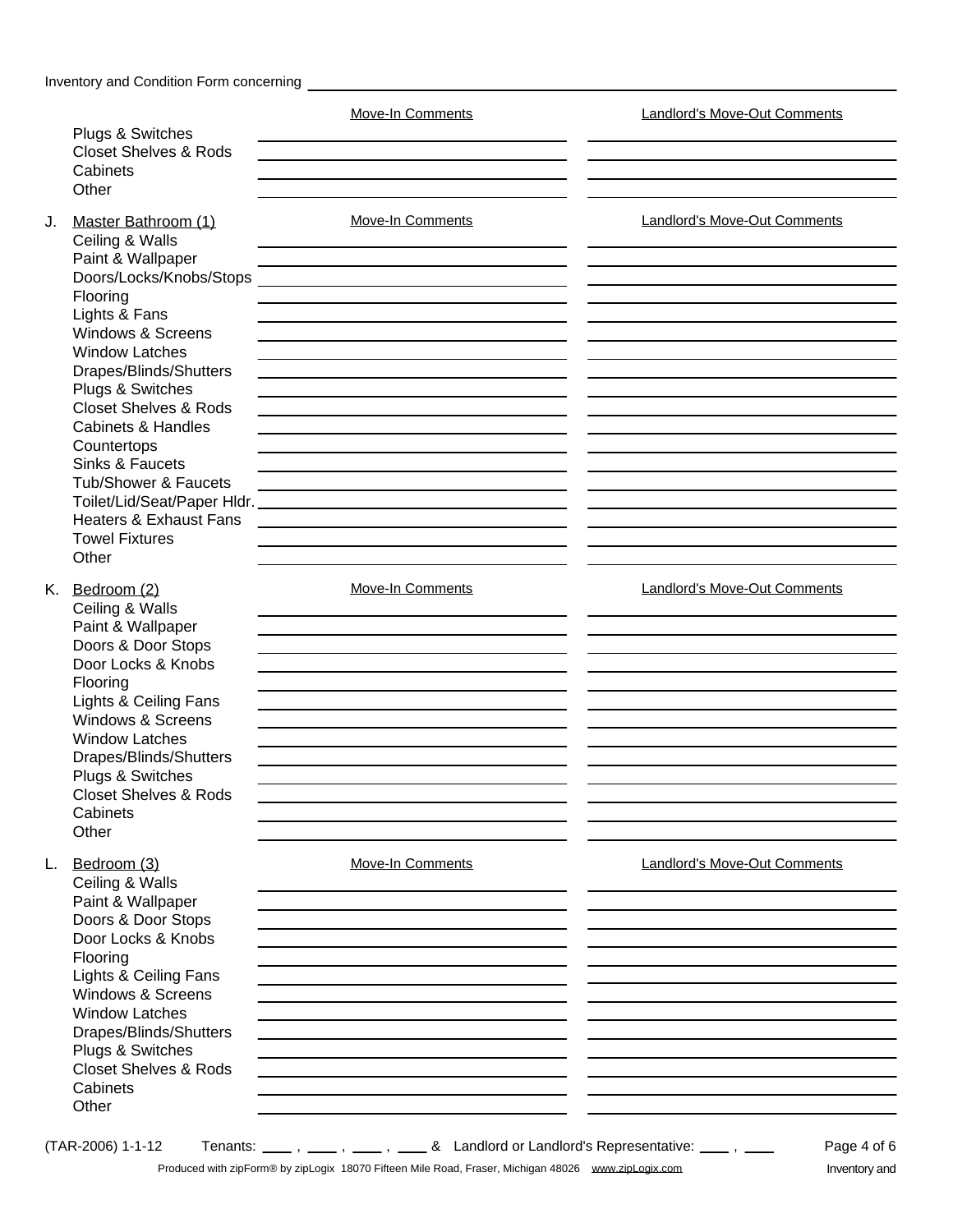|    |                                                                                                                                                                                                                                                                                                               | <b>Move-In Comments</b>                                                                                                                                                                  | <b>Landlord's Move-Out Comments</b> |
|----|---------------------------------------------------------------------------------------------------------------------------------------------------------------------------------------------------------------------------------------------------------------------------------------------------------------|------------------------------------------------------------------------------------------------------------------------------------------------------------------------------------------|-------------------------------------|
|    | Plugs & Switches<br><b>Closet Shelves &amp; Rods</b><br>Cabinets<br>Other                                                                                                                                                                                                                                     |                                                                                                                                                                                          |                                     |
| J. | Master Bathroom (1)<br>Ceiling & Walls                                                                                                                                                                                                                                                                        | Move-In Comments                                                                                                                                                                         | Landlord's Move-Out Comments        |
|    | Paint & Wallpaper<br>Doors/Locks/Knobs/Stops<br>Flooring<br>Lights & Fans<br>Windows & Screens<br><b>Window Latches</b>                                                                                                                                                                                       |                                                                                                                                                                                          |                                     |
|    | Drapes/Blinds/Shutters<br>Plugs & Switches<br><b>Closet Shelves &amp; Rods</b><br><b>Cabinets &amp; Handles</b><br>Countertops<br>Sinks & Faucets                                                                                                                                                             |                                                                                                                                                                                          |                                     |
|    | Tub/Shower & Faucets<br><b>Heaters &amp; Exhaust Fans</b><br><b>Towel Fixtures</b><br>Other                                                                                                                                                                                                                   | the control of the control of the control of the control of the control of the control of                                                                                                |                                     |
|    | K. Bedroom (2)<br>Ceiling & Walls<br>Paint & Wallpaper<br>Doors & Door Stops<br>Door Locks & Knobs<br>Flooring<br>Lights & Ceiling Fans<br>Windows & Screens<br><b>Window Latches</b><br>Drapes/Blinds/Shutters<br>Plugs & Switches<br><b>Closet Shelves &amp; Rods</b><br>Cabinets                           | <b>Move-In Comments</b>                                                                                                                                                                  | <b>Landlord's Move-Out Comments</b> |
| L. | Other<br>Bedroom (3)<br>Ceiling & Walls<br>Paint & Wallpaper<br>Doors & Door Stops<br>Door Locks & Knobs<br>Flooring<br>Lights & Ceiling Fans<br><b>Windows &amp; Screens</b><br><b>Window Latches</b><br>Drapes/Blinds/Shutters<br>Plugs & Switches<br><b>Closet Shelves &amp; Rods</b><br>Cabinets<br>Other | <b>Move-In Comments</b>                                                                                                                                                                  | <b>Landlord's Move-Out Comments</b> |
|    | (TAR-2006) 1-1-12                                                                                                                                                                                                                                                                                             | Tenants: _____, ____, ____, & Landlord or Landlord's Representative: ____, ____<br>Produced with zinForm® by zinLogix, 18070 Fifteen Mile Road, Fraser, Michigan 48026, www.zinLogix.com | Page 4 of 6<br>Inventon and         |

Produced with zipForm® by zipLogix 18070 Fifteen Mile Road, Fraser, Michigan 48026 www.zipLogix.com Inventory and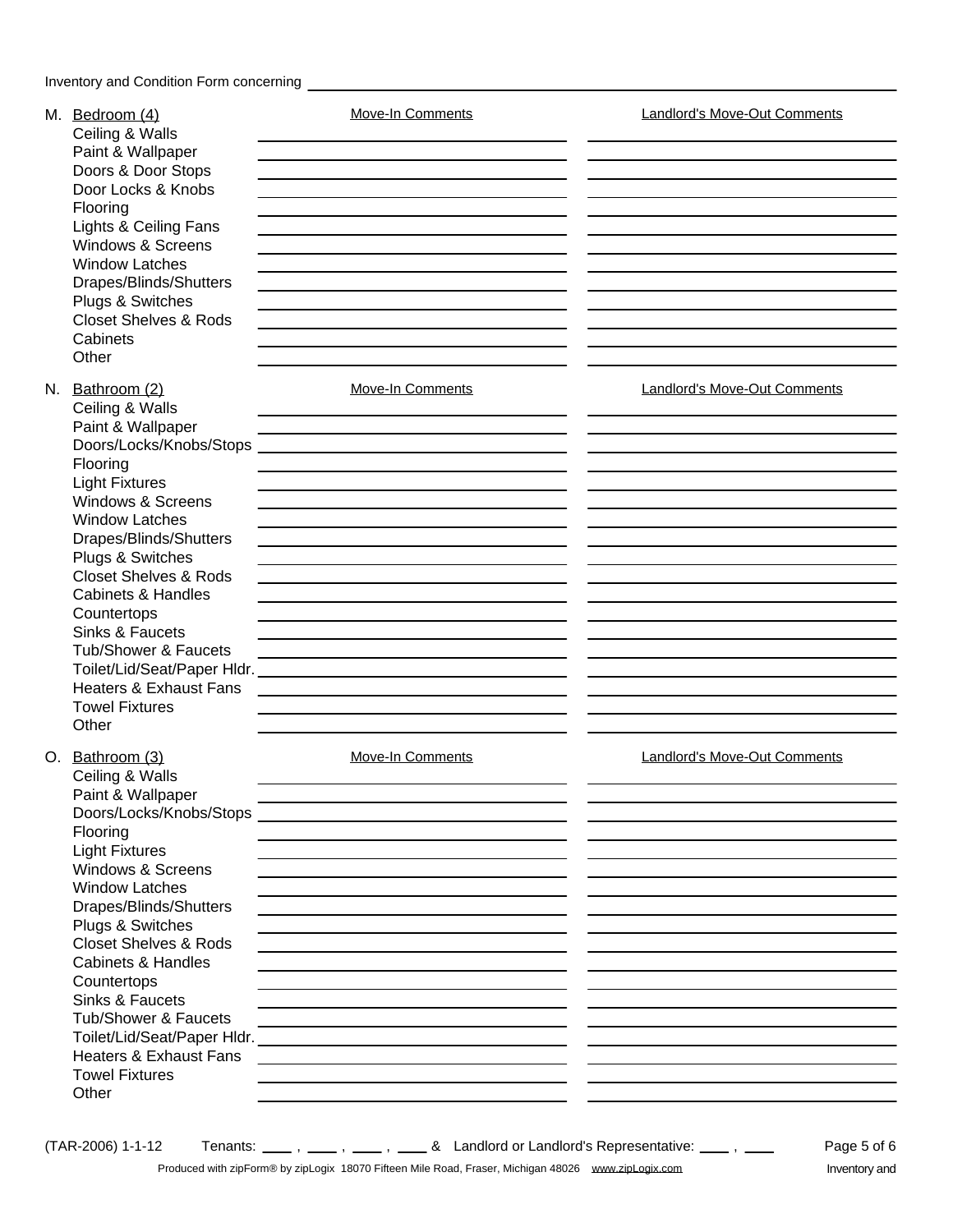| M. Bedroom (4)<br>Ceiling & Walls                                                                                                                                                                                                                                                                                                                                                                                                                        | <b>Move-In Comments</b>                                                                                                                                                                                                                                                                                                                                                                                                                                                                                                                                                                                                                                                                                                                                                                                                                                                                                                                                                                                                                                                                                                                                                                                                                                                                                                                                                                                                                                                                                                                                                                                                                                                                                                                                                                 | Landlord's Move-Out Comments                                                                                              |
|----------------------------------------------------------------------------------------------------------------------------------------------------------------------------------------------------------------------------------------------------------------------------------------------------------------------------------------------------------------------------------------------------------------------------------------------------------|-----------------------------------------------------------------------------------------------------------------------------------------------------------------------------------------------------------------------------------------------------------------------------------------------------------------------------------------------------------------------------------------------------------------------------------------------------------------------------------------------------------------------------------------------------------------------------------------------------------------------------------------------------------------------------------------------------------------------------------------------------------------------------------------------------------------------------------------------------------------------------------------------------------------------------------------------------------------------------------------------------------------------------------------------------------------------------------------------------------------------------------------------------------------------------------------------------------------------------------------------------------------------------------------------------------------------------------------------------------------------------------------------------------------------------------------------------------------------------------------------------------------------------------------------------------------------------------------------------------------------------------------------------------------------------------------------------------------------------------------------------------------------------------------|---------------------------------------------------------------------------------------------------------------------------|
| Paint & Wallpaper<br>Doors & Door Stops<br>Door Locks & Knobs<br>Flooring<br>Lights & Ceiling Fans<br><b>Windows &amp; Screens</b><br><b>Window Latches</b><br>Drapes/Blinds/Shutters<br>Plugs & Switches<br><b>Closet Shelves &amp; Rods</b><br>Cabinets                                                                                                                                                                                                |                                                                                                                                                                                                                                                                                                                                                                                                                                                                                                                                                                                                                                                                                                                                                                                                                                                                                                                                                                                                                                                                                                                                                                                                                                                                                                                                                                                                                                                                                                                                                                                                                                                                                                                                                                                         |                                                                                                                           |
| Other<br>N. Bathroom (2)<br>Ceiling & Walls<br>Paint & Wallpaper<br>Doors/Locks/Knobs/Stops                                                                                                                                                                                                                                                                                                                                                              | Move-In Comments                                                                                                                                                                                                                                                                                                                                                                                                                                                                                                                                                                                                                                                                                                                                                                                                                                                                                                                                                                                                                                                                                                                                                                                                                                                                                                                                                                                                                                                                                                                                                                                                                                                                                                                                                                        | Landlord's Move-Out Comments                                                                                              |
| Flooring<br><b>Light Fixtures</b><br><b>Windows &amp; Screens</b><br><b>Window Latches</b><br>Drapes/Blinds/Shutters<br>Plugs & Switches<br><b>Closet Shelves &amp; Rods</b><br>Cabinets & Handles<br>Countertops<br>Sinks & Faucets<br><b>Tub/Shower &amp; Faucets</b><br><b>Heaters &amp; Exhaust Fans</b><br><b>Towel Fixtures</b>                                                                                                                    |                                                                                                                                                                                                                                                                                                                                                                                                                                                                                                                                                                                                                                                                                                                                                                                                                                                                                                                                                                                                                                                                                                                                                                                                                                                                                                                                                                                                                                                                                                                                                                                                                                                                                                                                                                                         |                                                                                                                           |
| Other<br>O. Bathroom (3)<br>Ceiling & Walls<br>Paint & Wallpaper<br>Doors/Locks/Knobs/Stops<br>Flooring<br><b>Light Fixtures</b><br><b>Windows &amp; Screens</b><br><b>Window Latches</b><br>Drapes/Blinds/Shutters<br>Plugs & Switches<br><b>Closet Shelves &amp; Rods</b><br><b>Cabinets &amp; Handles</b><br>Countertops<br>Sinks & Faucets<br><b>Tub/Shower &amp; Faucets</b><br><b>Heaters &amp; Exhaust Fans</b><br><b>Towel Fixtures</b><br>Other | <b>Move-In Comments</b><br><u> 1989 - Johann Stoff, deutscher Stoff, der Stoff, der Stoff, der Stoff, der Stoff, der Stoff, der Stoff, der S</u><br><u> 1980 - Johann Harry Barn, mars ar breithinn ar breithinn an t-Alban ann an t-Alban ann an t-Alban ann an t-Alb</u><br>the contract of the contract of the contract of the contract of the contract of<br>the control of the control of the control of the control of the control of the control of the control of the control of the control of the control of the control of the control of the control of the control of the control<br>the control of the control of the control of the control of the control of the control of the control of the control of the control of the control of the control of the control of the control of the control of the control<br>the control of the control of the control of the control of the control of the control of the control of the control of the control of the control of the control of the control of the control of the control of the control<br><u> 1980 - Johann Barbara, martxa alemaniar argametra (h. 1980).</u><br>the control of the control of the control of the control of the control of the control of<br>the control of the control of the control of the control of the control of the control of the control of the control of<br><u> 1989 - Johann Barn, amerikansk politiker (d. 1989)</u><br><u> 1989 - Andrea Santa Andrea Andrea Andrea Andrea Andrea Andrea Andrea Andrea Andrea Andrea Andrea Andrea Andr</u><br>the control of the control of the control of the control of the control of the control of the control of the control of the control of the control of the control of the control of the control of the control of the control | Landlord's Move-Out Comments<br>the control of the control of the control of the control of the control of the control of |
| (TAR-2006) 1-1-12                                                                                                                                                                                                                                                                                                                                                                                                                                        | Tenants: _____, ____, ____, & Landlord or Landlord's Representative: ____, ____                                                                                                                                                                                                                                                                                                                                                                                                                                                                                                                                                                                                                                                                                                                                                                                                                                                                                                                                                                                                                                                                                                                                                                                                                                                                                                                                                                                                                                                                                                                                                                                                                                                                                                         | Page 5 of 6                                                                                                               |

Produced with zipForm® by zipLogix 18070 Fifteen Mile Road, Fraser, Michigan 48026 www.zipLogix.com Inventory and